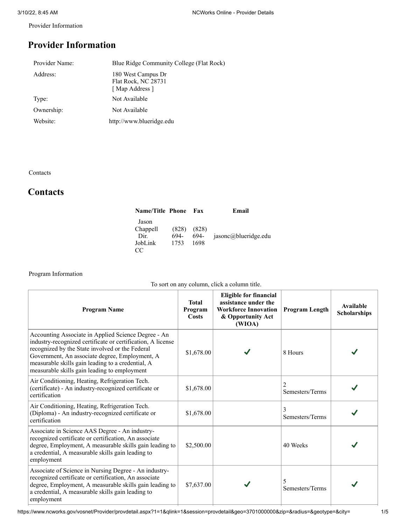Provider Information

# **Provider Information**

| Provider Name: | Blue Ridge Community College (Flat Rock)                   |
|----------------|------------------------------------------------------------|
| Address:       | 180 West Campus Dr<br>Flat Rock, NC 28731<br>[Map Address] |
| Type:          | Not Available                                              |
| Ownership:     | Not Available                                              |
| Website:       | http://www.blueridge.edu                                   |
|                |                                                            |

Contacts

## **Contacts**

| <b>Name/Title Phone</b>                    |                       | Fax                   | Email                |
|--------------------------------------------|-----------------------|-----------------------|----------------------|
| Jason<br>Chappell<br>Dir.<br>JobLink<br>CC | (828)<br>694-<br>1753 | (828)<br>694-<br>1698 | jasonc@blueridge.edu |

## Program Information

|  |  | To sort on any column, click a column title. |
|--|--|----------------------------------------------|
|--|--|----------------------------------------------|

| <b>Program Name</b>                                                                                                                                                                                                                                                                                                          | <b>Total</b><br>Program<br><b>Costs</b> | <b>Eligible for financial</b><br>assistance under the<br><b>Workforce Innovation</b><br>& Opportunity Act<br>(WIOA) | <b>Program Length</b>             | <b>Available</b><br><b>Scholarships</b> |
|------------------------------------------------------------------------------------------------------------------------------------------------------------------------------------------------------------------------------------------------------------------------------------------------------------------------------|-----------------------------------------|---------------------------------------------------------------------------------------------------------------------|-----------------------------------|-----------------------------------------|
| Accounting Associate in Applied Science Degree - An<br>industry-recognized certificate or certification, A license<br>recognized by the State involved or the Federal<br>Government, An associate degree, Employment, A<br>measurable skills gain leading to a credential, A<br>measurable skills gain leading to employment | \$1,678.00                              |                                                                                                                     | 8 Hours                           |                                         |
| Air Conditioning, Heating, Refrigeration Tech.<br>(certificate) - An industry-recognized certificate or<br>certification                                                                                                                                                                                                     | \$1,678.00                              |                                                                                                                     | $\overline{c}$<br>Semesters/Terms |                                         |
| Air Conditioning, Heating, Refrigeration Tech.<br>(Diploma) - An industry-recognized certificate or<br>certification                                                                                                                                                                                                         | \$1,678.00                              |                                                                                                                     | 3<br>Semesters/Terms              |                                         |
| Associate in Science AAS Degree - An industry-<br>recognized certificate or certification, An associate<br>degree, Employment, A measurable skills gain leading to<br>a credential, A measurable skills gain leading to<br>employment                                                                                        | \$2,500.00                              |                                                                                                                     | 40 Weeks                          |                                         |
| Associate of Science in Nursing Degree - An industry-<br>recognized certificate or certification, An associate<br>degree, Employment, A measurable skills gain leading to<br>a credential, A measurable skills gain leading to<br>employment                                                                                 | \$7,637.00                              |                                                                                                                     | 5<br>Semesters/Terms              |                                         |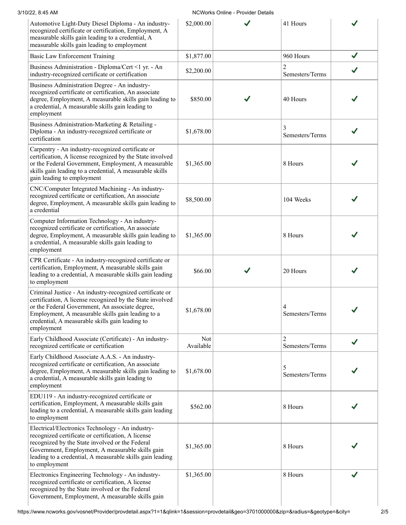| 3/10/22, 8:45 AM |  |
|------------------|--|
|                  |  |

### NCWorks Online - Provider Details

| Automotive Light-Duty Diesel Diploma - An industry-<br>recognized certificate or certification, Employment, A<br>measurable skills gain leading to a credential, A<br>measurable skills gain leading to employment                                                                             | \$2,000.00       | 41 Hours                          |              |
|------------------------------------------------------------------------------------------------------------------------------------------------------------------------------------------------------------------------------------------------------------------------------------------------|------------------|-----------------------------------|--------------|
| Basic Law Enforcement Training                                                                                                                                                                                                                                                                 | \$1,877.00       | 960 Hours                         |              |
| Business Administration - Diploma/Cert <1 yr. - An<br>industry-recognized certificate or certification                                                                                                                                                                                         | \$2,200.00       | $\overline{2}$<br>Semesters/Terms |              |
| Business Administration Degree - An industry-<br>recognized certificate or certification, An associate<br>degree, Employment, A measurable skills gain leading to<br>a credential, A measurable skills gain leading to<br>employment                                                           | \$850.00         | 40 Hours                          |              |
| Business Administration-Marketing & Retailing -<br>Diploma - An industry-recognized certificate or<br>certification                                                                                                                                                                            | \$1,678.00       | 3<br>Semesters/Terms              |              |
| Carpentry - An industry-recognized certificate or<br>certification, A license recognized by the State involved<br>or the Federal Government, Employment, A measurable<br>skills gain leading to a credential, A measurable skills<br>gain leading to employment                                | \$1,365.00       | 8 Hours                           |              |
| CNC/Computer Integrated Machining - An industry-<br>recognized certificate or certification, An associate<br>degree, Employment, A measurable skills gain leading to<br>a credential                                                                                                           | \$8,500.00       | 104 Weeks                         |              |
| Computer Information Technology - An industry-<br>recognized certificate or certification, An associate<br>degree, Employment, A measurable skills gain leading to<br>a credential, A measurable skills gain leading to<br>employment                                                          | \$1,365.00       | 8 Hours                           |              |
| CPR Certificate - An industry-recognized certificate or<br>certification, Employment, A measurable skills gain<br>leading to a credential, A measurable skills gain leading<br>to employment                                                                                                   | \$66.00          | 20 Hours                          |              |
| Criminal Justice - An industry-recognized certificate or<br>certification, A license recognized by the State involved<br>or the Federal Government, An associate degree,<br>Employment, A measurable skills gain leading to a<br>credential, A measurable skills gain leading to<br>employment | \$1,678.00       | 4<br>Semesters/Terms              |              |
| Early Childhood Associate (Certificate) - An industry-<br>recognized certificate or certification                                                                                                                                                                                              | Not<br>Available | 2<br>Semesters/Terms              | $\checkmark$ |
| Early Childhood Associate A.A.S. - An industry-<br>recognized certificate or certification, An associate<br>degree, Employment, A measurable skills gain leading to<br>a credential, A measurable skills gain leading to<br>employment                                                         | \$1,678.00       | 5<br>Semesters/Terms              |              |
| EDU119 - An industry-recognized certificate or<br>certification, Employment, A measurable skills gain<br>leading to a credential, A measurable skills gain leading<br>to employment                                                                                                            | \$562.00         | 8 Hours                           |              |
| Electrical/Electronics Technology - An industry-<br>recognized certificate or certification, A license<br>recognized by the State involved or the Federal<br>Government, Employment, A measurable skills gain<br>leading to a credential, A measurable skills gain leading<br>to employment    | \$1,365.00       | 8 Hours                           |              |
| Electronics Engineering Technology - An industry-<br>recognized certificate or certification, A license<br>recognized by the State involved or the Federal<br>Government, Employment, A measurable skills gain                                                                                 | \$1,365.00       | 8 Hours                           |              |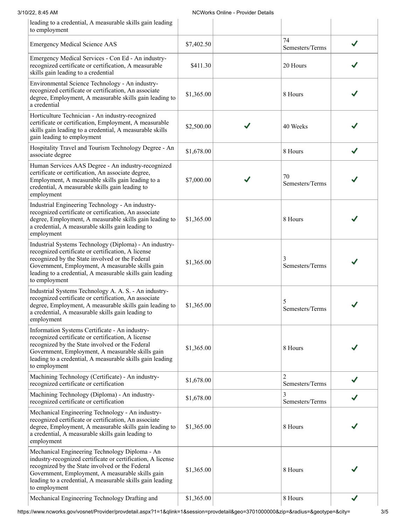| leading to a credential, A measurable skills gain leading<br>to employment                                                                                                                                                                                                                         |            |                       |  |
|----------------------------------------------------------------------------------------------------------------------------------------------------------------------------------------------------------------------------------------------------------------------------------------------------|------------|-----------------------|--|
| <b>Emergency Medical Science AAS</b>                                                                                                                                                                                                                                                               | \$7,402.50 | 74<br>Semesters/Terms |  |
| Emergency Medical Services - Con Ed - An industry-<br>recognized certificate or certification, A measurable<br>skills gain leading to a credential                                                                                                                                                 | \$411.30   | 20 Hours              |  |
| Environmental Science Technology - An industry-<br>recognized certificate or certification, An associate<br>degree, Employment, A measurable skills gain leading to<br>a credential                                                                                                                | \$1,365.00 | 8 Hours               |  |
| Horticulture Technician - An industry-recognized<br>certificate or certification, Employment, A measurable<br>skills gain leading to a credential, A measurable skills<br>gain leading to employment                                                                                               | \$2,500.00 | 40 Weeks              |  |
| Hospitality Travel and Tourism Technology Degree - An<br>associate degree                                                                                                                                                                                                                          | \$1,678.00 | 8 Hours               |  |
| Human Services AAS Degree - An industry-recognized<br>certificate or certification, An associate degree,<br>Employment, A measurable skills gain leading to a<br>credential, A measurable skills gain leading to<br>employment                                                                     | \$7,000.00 | 70<br>Semesters/Terms |  |
| Industrial Engineering Technology - An industry-<br>recognized certificate or certification, An associate<br>degree, Employment, A measurable skills gain leading to<br>a credential, A measurable skills gain leading to<br>employment                                                            | \$1,365.00 | 8 Hours               |  |
| Industrial Systems Technology (Diploma) - An industry-<br>recognized certificate or certification, A license<br>recognized by the State involved or the Federal<br>Government, Employment, A measurable skills gain<br>leading to a credential, A measurable skills gain leading<br>to employment  | \$1,365.00 | 3<br>Semesters/Terms  |  |
| Industrial Systems Technology A. A. S. - An industry-<br>recognized certificate or certification, An associate<br>degree, Employment, A measurable skills gain leading to<br>a credential, A measurable skills gain leading to<br>employment                                                       | \$1,365.00 | 5<br>Semesters/Terms  |  |
| Information Systems Certificate - An industry-<br>recognized certificate or certification, A license<br>recognized by the State involved or the Federal<br>Government, Employment, A measurable skills gain<br>leading to a credential, A measurable skills gain leading<br>to employment          | \$1,365.00 | 8 Hours               |  |
| Machining Technology (Certificate) - An industry-<br>recognized certificate or certification                                                                                                                                                                                                       | \$1,678.00 | 2<br>Semesters/Terms  |  |
| Machining Technology (Diploma) - An industry-<br>recognized certificate or certification                                                                                                                                                                                                           | \$1,678.00 | 3<br>Semesters/Terms  |  |
| Mechanical Engineering Technology - An industry-<br>recognized certificate or certification, An associate<br>degree, Employment, A measurable skills gain leading to<br>a credential, A measurable skills gain leading to<br>employment                                                            | \$1,365.00 | 8 Hours               |  |
| Mechanical Engineering Technology Diploma - An<br>industry-recognized certificate or certification, A license<br>recognized by the State involved or the Federal<br>Government, Employment, A measurable skills gain<br>leading to a credential, A measurable skills gain leading<br>to employment | \$1,365.00 | 8 Hours               |  |
| Mechanical Engineering Technology Drafting and                                                                                                                                                                                                                                                     | \$1,365.00 | 8 Hours               |  |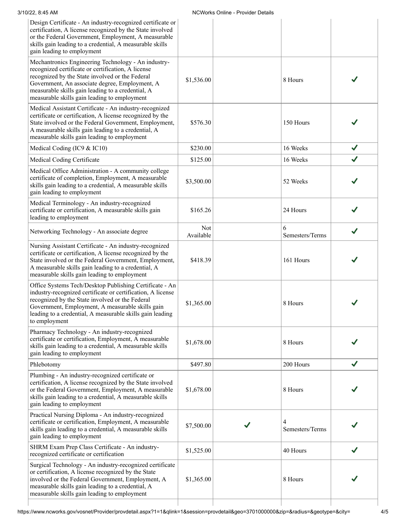| 3/10/22, 8:45 AM<br><b>NCWorks Online - Provider Details</b>                                                                                                                                                                                                                                                        |                  |  |                      |              |
|---------------------------------------------------------------------------------------------------------------------------------------------------------------------------------------------------------------------------------------------------------------------------------------------------------------------|------------------|--|----------------------|--------------|
| Design Certificate - An industry-recognized certificate or<br>certification, A license recognized by the State involved<br>or the Federal Government, Employment, A measurable<br>skills gain leading to a credential, A measurable skills<br>gain leading to employment                                            |                  |  |                      |              |
| Mechantronics Engineering Technology - An industry-<br>recognized certificate or certification, A license<br>recognized by the State involved or the Federal<br>Government, An associate degree, Employment, A<br>measurable skills gain leading to a credential, A<br>measurable skills gain leading to employment | \$1,536.00       |  | 8 Hours              |              |
| Medical Assistant Certificate - An industry-recognized<br>certificate or certification, A license recognized by the<br>State involved or the Federal Government, Employment,<br>A measurable skills gain leading to a credential, A<br>measurable skills gain leading to employment                                 | \$576.30         |  | 150 Hours            |              |
| Medical Coding (IC9 & IC10)                                                                                                                                                                                                                                                                                         | \$230.00         |  | 16 Weeks             | $\checkmark$ |
| Medical Coding Certificate                                                                                                                                                                                                                                                                                          | \$125.00         |  | 16 Weeks             | $\checkmark$ |
| Medical Office Administration - A community college<br>certificate of completion, Employment, A measurable<br>skills gain leading to a credential, A measurable skills<br>gain leading to employment                                                                                                                | \$3,500.00       |  | 52 Weeks             |              |
| Medical Terminology - An industry-recognized<br>certificate or certification, A measurable skills gain<br>leading to employment                                                                                                                                                                                     | \$165.26         |  | 24 Hours             |              |
| Networking Technology - An associate degree                                                                                                                                                                                                                                                                         | Not<br>Available |  | 6<br>Semesters/Terms |              |
| Nursing Assistant Certificate - An industry-recognized<br>certificate or certification, A license recognized by the<br>State involved or the Federal Government, Employment,<br>A measurable skills gain leading to a credential, A<br>measurable skills gain leading to employment                                 | \$418.39         |  | 161 Hours            |              |
| Office Systems Tech/Desktop Publishing Certificate - An<br>industry-recognized certificate or certification, A license<br>recognized by the State involved or the Federal<br>Government, Employment, A measurable skills gain<br>leading to a credential, A measurable skills gain leading<br>to employment         | \$1,365.00       |  | 8 Hours              |              |
| Pharmacy Technology - An industry-recognized<br>certificate or certification, Employment, A measurable<br>skills gain leading to a credential, A measurable skills<br>gain leading to employment                                                                                                                    | \$1,678.00       |  | 8 Hours              |              |
| Phlebotomy                                                                                                                                                                                                                                                                                                          | \$497.80         |  | 200 Hours            | J            |
| Plumbing - An industry-recognized certificate or<br>certification, A license recognized by the State involved<br>or the Federal Government, Employment, A measurable<br>skills gain leading to a credential, A measurable skills<br>gain leading to employment                                                      | \$1,678.00       |  | 8 Hours              |              |
| Practical Nursing Diploma - An industry-recognized<br>certificate or certification, Employment, A measurable<br>skills gain leading to a credential, A measurable skills<br>gain leading to employment                                                                                                              | \$7,500.00       |  | 4<br>Semesters/Terms |              |
| SHRM Exam Prep Class Certificate - An industry-<br>recognized certificate or certification                                                                                                                                                                                                                          | \$1,525.00       |  | 40 Hours             |              |
| Surgical Technology - An industry-recognized certificate<br>or certification, A license recognized by the State<br>involved or the Federal Government, Employment, A<br>measurable skills gain leading to a credential, A<br>measurable skills gain leading to employment                                           | \$1,365.00       |  | 8 Hours              |              |